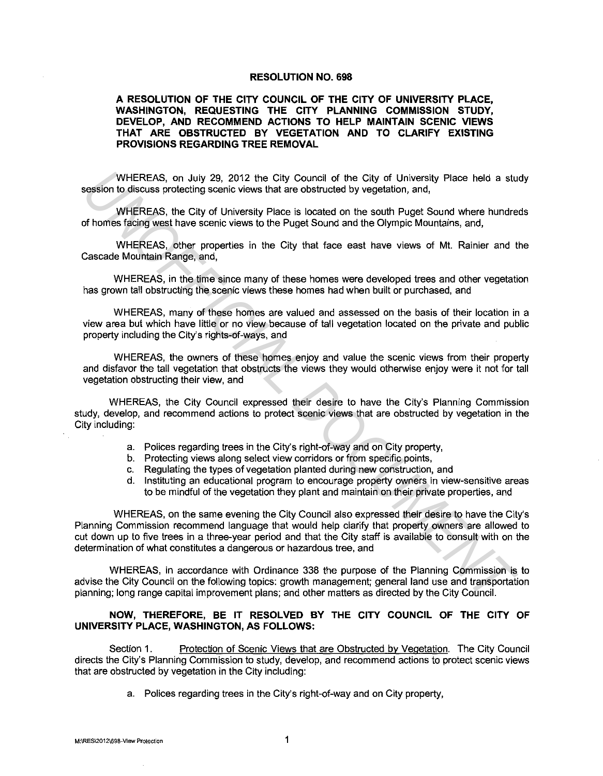## **RESOLUTION NO. 698**

## **A RESOLUTION OF THE CITY COUNCIL OF THE CITY OF UNIVERSITY PLACE, WASHINGTON, REQUESTING THE CITY PLANNING COMMISSION STUDY, DEVELOP, AND RECOMMEND ACTIONS TO HELP MAINTAIN SCENIC VIEWS THAT ARE OBSTRUCTED BY VEGETATION AND TO CLARIFY EXISTING PROVISIONS REGARDING TREE REMOVAL**

WHEREAS, on July 29, 2012 the City Council of the City of University Place held a study session to discuss protecting scenic views that are obstructed by vegetation, and,

WHEREAS, the City of University Place is located on the south Puget Sound where hundreds of homes facing west have scenic views to the Puget Sound and the Olympic Mountains, and,

WHEREAS, other properties in the City that face east have views of Mt. Rainier and the Cascade Mountain Range, and,

WHEREAS, in the time since many of these homes were developed trees and other vegetation has grown tall obstructing the scenic views these homes had when built or purchased, and

WHEREAS, many of these homes are valued and assessed on the basis of their location in a view area but which have little or no view because of tall vegetation located on the private and public property including the City's rights-of-ways, and

WHEREAS, the owners of these homes enjoy and value the scenic views from their property and disfavor the tall vegetation that obstructs the views they would otherwise enjoy were it not for tall vegetation obstructing their view, and

WHEREAS, the City Council expressed their desire to have the City's Planning Commission study, develop, and recommend actions to protect scenic views that are obstructed by vegetation in the City including:

- a. Polices regarding trees in the City's right-of-way and on City property,
- b. Protecting views along select view corridors or from specific points,
- c. Regulating the types of vegetation planted during new construction, and
- d. Instituting an educational program to encourage property owners in view-sensitive areas to be mindful of the vegetation they plant and maintain on their private properties, and

WHEREAS, on the same evening the City Council also expressed their desire to have the City's Planning Commission recommend language that would help clarify that property owners are allowed to cut down up to five trees in a three-year period and that the City staff is available to consult with on the determination of what constitutes a dangerous or hazardous tree, and WHEREAS, on July 29, 2012 the City Council of the City of University Place held a sum of shossion rotes. protective Weysted Secretive diverse that are obstructed by veglatation, and, WHEREAS, the City of University Place i

WHEREAS, in accordance with Ordinance 338 the purpose of the Planning Commission is to advise the City Council on the following topics: growth management; general land use and transportation planning; long range capital improvement plans; and other matters as directed by the City Council.

## **NOW, THEREFORE, BE IT RESOLVED BY THE CITY COUNCIL OF THE CITY OF UNIVERSITY PLACE, WASHINGTON, AS FOLLOWS:**

Section 1. Protection of Scenic Views that are Obstructed by Vegetation. The City Council directs the City's Planning Commission to study, develop, and recommend actions to protect scenic views that are obstructed by vegetation in the City including:

a. Polices regarding trees in the City's right-of-way and on City property,